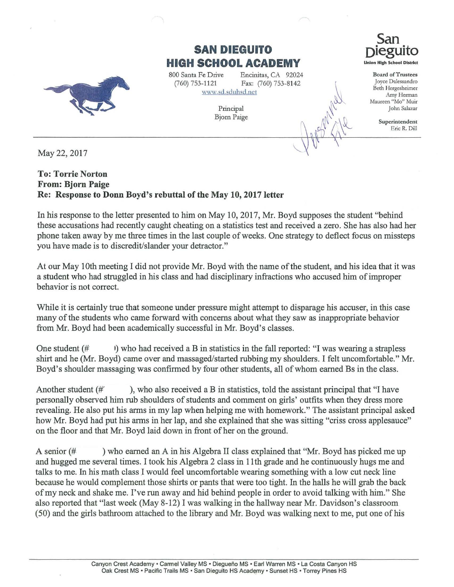

May22, 2017

## **To: Torrie Norton From: Bjorn Paige Re: Response to Donn Boyd's rebuttal of the May 10, 2017 letter**

In his response to the letter presented to him on May 10, 2017, Mr. Boyd supposes the student "behind these accusations had recently caught cheating on a statistics test and received a zero. She has also had her phone taken away by me three times in the last couple of weeks. One strategy to deflect focus on missteps you have made is to discredit/slander your detractor."

**SAN DIEGUITO HIGH SCHOOL ACADEMY** 

\\1\\-w.sd.sduhsd.net

Principal Bjorn Paige

Encinitas, CA 92024 Fax: (760) 753-8142

800 Santa Fe Drive (760) 753-1121

At our May lOth meeting I did not provide Mr. Boyd with the name of the student, and his idea that it was a student who had struggled in his class and had disciplinary infractions who accused him of improper behavior is not correct.

While it is certainly true that someone under pressure might attempt to disparage his accuser, in this case many of the students who came forward with concerns about what they saw as inappropriate behavior from Mr. Boyd had been academically successful in Mr. Boyd's classes.

One student  $(\# \cup)$  who had received a B in statistics in the fall reported: "I was wearing a strapless shirt and he (Mr. Boyd) came over and massaged/started rubbing my shoulders. I felt uncomfortable." Mr. Boyd's shoulder massaging was confirmed by four other students, all of whom earned Bs in the class.

Another student  $(\#')$ , who also received a B in statistics, told the assistant principal that "I have personally observed him rub shoulders of students and comment on girls' outfits when they dress more revealing. He also put his arms in my lap when helping me with homework." The assistant principal asked how Mr. Boyd had put his arms in her lap, and she explained that she was sitting "criss cross applesauce" on the floor and that Mr. Boyd laid down in front of her on the ground.

A senior (# ) who earned an A in his Algebra II class explained that "Mr. Boyd has picked me up and hugged me several times. I took his Algebra 2 class in 11th grade and he continuously hugs me and talks to me. In his math class I would feel uncomfortable wearing something with a low cut neck line because he would complement those shirts or pants that were too tight. In the halls he will grab the back of my neck and shake me. I've run away and hid behind people in order to avoid talking with him." She also reported that "last week (May 8-12) I was walking in the hallway near Mr. Davidson's classroom (50) and the girls bathroom attached to the library and Mr. Boyd was walking next to me, put one of his



**San oieguito**  Union High School District

Board of Trustees Joyce Dalessandro Beth Hergesheimer Amy Herman Maureen "Mo" Muir John Salazar

> Superintendent Eric R. Dill